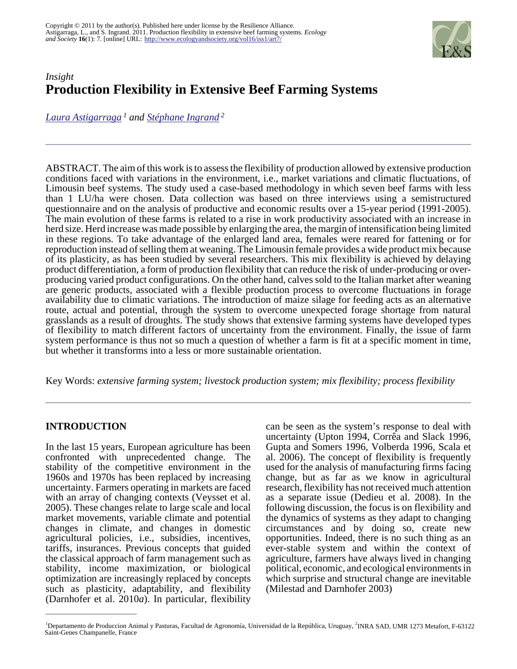

# *Insight* **Production Flexibility in Extensive Beef Farming Systems**

*Laura Astigarraga 1 and Stéphane Ingrand 2*

ABSTRACT. The aim of this work is to assess the flexibility of production allowed by extensive production conditions faced with variations in the environment, i.e., market variations and climatic fluctuations, of Limousin beef systems. The study used a case-based methodology in which seven beef farms with less than 1 LU/ha were chosen. Data collection was based on three interviews using a semistructured questionnaire and on the analysis of productive and economic results over a 15-year period (1991-2005). The main evolution of these farms is related to a rise in work productivity associated with an increase in herd size. Herd increase was made possible by enlarging the area, the margin of intensification being limited in these regions. To take advantage of the enlarged land area, females were reared for fattening or for reproduction instead of selling them at weaning. The Limousin female provides a wide product mix because of its plasticity, as has been studied by several researchers. This mix flexibility is achieved by delaying product differentiation, a form of production flexibility that can reduce the risk of under-producing or overproducing varied product configurations. On the other hand, calves sold to the Italian market after weaning are generic products, associated with a flexible production process to overcome fluctuations in forage availability due to climatic variations. The introduction of maize silage for feeding acts as an alternative route, actual and potential, through the system to overcome unexpected forage shortage from natural grasslands as a result of droughts. The study shows that extensive farming systems have developed types of flexibility to match different factors of uncertainty from the environment. Finally, the issue of farm system performance is thus not so much a question of whether a farm is fit at a specific moment in time, but whether it transforms into a less or more sustainable orientation.

Key Words: *extensive farming system; livestock production system; mix flexibility; process flexibility*

### **INTRODUCTION**

In the last 15 years, European agriculture has been confronted with unprecedented change. The stability of the competitive environment in the 1960s and 1970s has been replaced by increasing uncertainty. Farmers operating in markets are faced with an array of changing contexts (Veysset et al. 2005). These changes relate to large scale and local market movements, variable climate and potential changes in climate, and changes in domestic agricultural policies, i.e., subsidies, incentives, tariffs, insurances. Previous concepts that guided the classical approach of farm management such as stability, income maximization, or biological optimization are increasingly replaced by concepts such as plasticity, adaptability, and flexibility (Darnhofer et al. 2010*a*). In particular, flexibility

can be seen as the system's response to deal with uncertainty (Upton 1994, Corrêa and Slack 1996, Gupta and Somers 1996, Volberda 1996, Scala et al. 2006). The concept of flexibility is frequently used for the analysis of manufacturing firms facing change, but as far as we know in agricultural research, flexibility has not received much attention as a separate issue (Dedieu et al. 2008). In the following discussion, the focus is on flexibility and the dynamics of systems as they adapt to changing circumstances and by doing so, create new opportunities. Indeed, there is no such thing as an ever-stable system and within the context of agriculture, farmers have always lived in changing political, economic, and ecological environments in which surprise and structural change are inevitable (Milestad and Darnhofer 2003)

<sup>&</sup>lt;sup>1</sup>Departamento de Produccion Animal y Pasturas, Facultad de Agronomía, Universidad de la República, Uruguay, <sup>2</sup>INRA SAD, UMR 1273 Metafort, F-63122 Saint-Genes Champanelle, France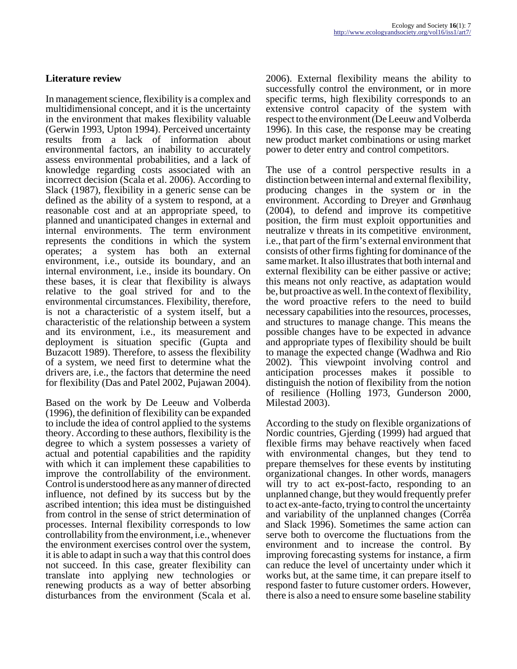## **Literature review**

In management science, flexibility is a complex and multidimensional concept, and it is the uncertainty in the environment that makes flexibility valuable (Gerwin 1993, Upton 1994). Perceived uncertainty results from a lack of information about environmental factors, an inability to accurately assess environmental probabilities, and a lack of knowledge regarding costs associated with an incorrect decision (Scala et al. 2006). According to Slack (1987), flexibility in a generic sense can be defined as the ability of a system to respond, at a reasonable cost and at an appropriate speed, to planned and unanticipated changes in external and internal environments. The term environment represents the conditions in which the system operates; a system has both an external environment, i.e., outside its boundary, and an internal environment, i.e., inside its boundary. On these bases, it is clear that flexibility is always relative to the goal strived for and to the environmental circumstances. Flexibility, therefore, is not a characteristic of a system itself, but a characteristic of the relationship between a system and its environment, i.e., its measurement and deployment is situation specific (Gupta and Buzacott 1989). Therefore, to assess the flexibility of a system, we need first to determine what the drivers are, i.e., the factors that determine the need for flexibility (Das and Patel 2002, Pujawan 2004).

Based on the work by De Leeuw and Volberda (1996), the definition of flexibility can be expanded to include the idea of control applied to the systems theory. According to these authors, flexibility is the degree to which a system possesses a variety of actual and potential capabilities and the rapidity with which it can implement these capabilities to improve the controllability of the environment. Control is understood here as any manner of directed influence, not defined by its success but by the ascribed intention; this idea must be distinguished from control in the sense of strict determination of processes. Internal flexibility corresponds to low controllability from the environment, i.e., whenever the environment exercises control over the system, it is able to adapt in such a way that this control does not succeed. In this case, greater flexibility can translate into applying new technologies or renewing products as a way of better absorbing disturbances from the environment (Scala et al.

2006). External flexibility means the ability to successfully control the environment, or in more specific terms, high flexibility corresponds to an extensive control capacity of the system with respect to the environment (De Leeuw and Volberda 1996). In this case, the response may be creating new product market combinations or using market power to deter entry and control competitors.

The use of a control perspective results in a distinction between internal and external flexibility, producing changes in the system or in the environment. According to Dreyer and Grønhaug (2004), to defend and improve its competitive position, the firm must exploit opportunities and neutralize v threats in its competitive environment, i.e., that part of the firm's external environment that consists of other firms fighting for dominance of the same market. It also illustrates that both internal and external flexibility can be either passive or active; this means not only reactive, as adaptation would be, but proactive as well. In the context of flexibility, the word proactive refers to the need to build necessary capabilities into the resources, processes, and structures to manage change. This means the possible changes have to be expected in advance and appropriate types of flexibility should be built to manage the expected change (Wadhwa and Rio 2002). This viewpoint involving control and anticipation processes makes it possible to distinguish the notion of flexibility from the notion of resilience (Holling 1973, Gunderson 2000, Milestad 2003).

According to the study on flexible organizations of Nordic countries, Gjerding (1999) had argued that flexible firms may behave reactively when faced with environmental changes, but they tend to prepare themselves for these events by instituting organizational changes. In other words, managers will try to act ex-post-facto, responding to an unplanned change, but they would frequently prefer to act ex-ante-facto, trying to control the uncertainty and variability of the unplanned changes (Corrêa and Slack 1996). Sometimes the same action can serve both to overcome the fluctuations from the environment and to increase the control. By improving forecasting systems for instance, a firm can reduce the level of uncertainty under which it works but, at the same time, it can prepare itself to respond faster to future customer orders. However, there is also a need to ensure some baseline stability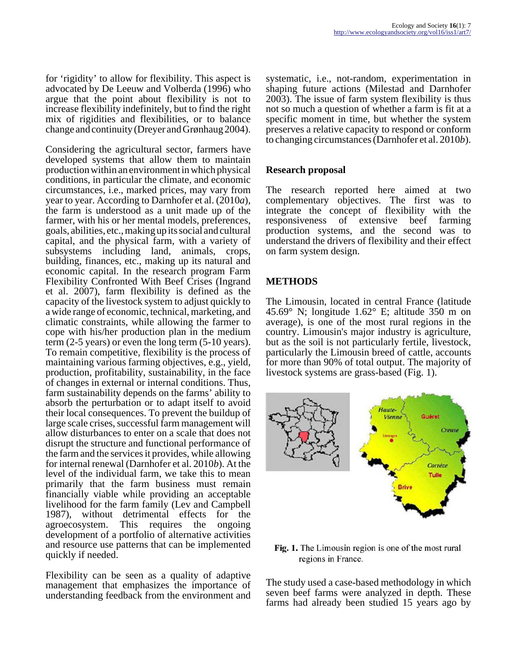for 'rigidity' to allow for flexibility. This aspect is advocated by De Leeuw and Volberda (1996) who argue that the point about flexibility is not to increase flexibility indefinitely, but to find the right mix of rigidities and flexibilities, or to balance change and continuity (Dreyer and Grønhaug 2004).

Considering the agricultural sector, farmers have developed systems that allow them to maintain production within an environment in which physical conditions, in particular the climate, and economic circumstances, i.e., marked prices, may vary from year to year. According to Darnhofer et al. (2010*a*), the farm is understood as a unit made up of the farmer, with his or her mental models, preferences, goals, abilities, etc., making up its social and cultural capital, and the physical farm, with a variety of subsystems including land, animals, crops, building, finances, etc., making up its natural and economic capital. In the research program Farm Flexibility Confronted With Beef Crises (Ingrand et al. 2007), farm flexibility is defined as the capacity of the livestock system to adjust quickly to a wide range of economic, technical, marketing, and climatic constraints, while allowing the farmer to cope with his/her production plan in the medium term (2-5 years) or even the long term (5-10 years). To remain competitive, flexibility is the process of maintaining various farming objectives, e.g., yield, production, profitability, sustainability, in the face of changes in external or internal conditions. Thus, farm sustainability depends on the farms' ability to absorb the perturbation or to adapt itself to avoid their local consequences. To prevent the buildup of large scale crises, successful farm management will allow disturbances to enter on a scale that does not disrupt the structure and functional performance of the farm and the services it provides, while allowing for internal renewal (Darnhofer et al. 2010*b*). At the level of the individual farm, we take this to mean primarily that the farm business must remain financially viable while providing an acceptable livelihood for the farm family (Lev and Campbell 1987), without detrimental effects for the agroecosystem. This requires the ongoing development of a portfolio of alternative activities and resource use patterns that can be implemented quickly if needed.

Flexibility can be seen as a quality of adaptive management that emphasizes the importance of understanding feedback from the environment and

systematic, i.e., not-random, experimentation in shaping future actions (Milestad and Darnhofer 2003). The issue of farm system flexibility is thus not so much a question of whether a farm is fit at a specific moment in time, but whether the system preserves a relative capacity to respond or conform to changing circumstances (Darnhofer et al. 2010*b*).

## **Research proposal**

The research reported here aimed at two complementary objectives. The first was to integrate the concept of flexibility with the responsiveness of extensive beef farming production systems, and the second was to understand the drivers of flexibility and their effect on farm system design.

## **METHODS**

The Limousin, located in central France (latitude 45.69° N; longitude 1.62° E; altitude 350 m on average), is one of the most rural regions in the country. Limousin's major industry is agriculture, but as the soil is not particularly fertile, livestock, particularly the Limousin breed of cattle, accounts for more than 90% of total output. The majority of livestock systems are grass-based (Fig. 1).



Fig. 1. The Limousin region is one of the most rural regions in France.

The study used a case-based methodology in which seven beef farms were analyzed in depth. These farms had already been studied 15 years ago by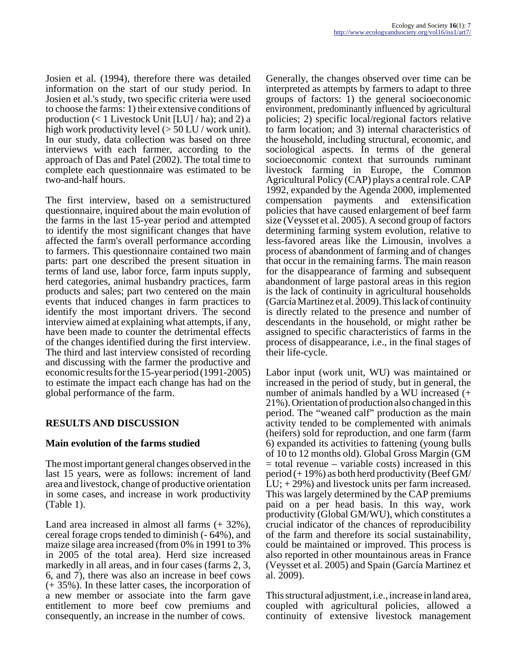Josien et al. (1994), therefore there was detailed information on the start of our study period. In Josien et al.'s study, two specific criteria were used to choose the farms: 1) their extensive conditions of production  $(< 1$  Livestock Unit [LU]  $/$  ha); and 2) a high work productivity level (> 50 LU / work unit). In our study, data collection was based on three interviews with each farmer, according to the approach of Das and Patel (2002). The total time to complete each questionnaire was estimated to be two-and-half hours.

The first interview, based on a semistructured questionnaire, inquired about the main evolution of the farms in the last 15-year period and attempted to identify the most significant changes that have affected the farm's overall performance according to farmers. This questionnaire contained two main parts: part one described the present situation in terms of land use, labor force, farm inputs supply, herd categories, animal husbandry practices, farm products and sales; part two centered on the main events that induced changes in farm practices to identify the most important drivers. The second interview aimed at explaining what attempts, if any, have been made to counter the detrimental effects of the changes identified during the first interview. The third and last interview consisted of recording and discussing with the farmer the productive and economic results for the 15-year period (1991-2005) to estimate the impact each change has had on the global performance of the farm.

## **RESULTS AND DISCUSSION**

### **Main evolution of the farms studied**

The most important general changes observed in the last 15 years, were as follows: increment of land area and livestock, change of productive orientation in some cases, and increase in work productivity (Table 1).

Land area increased in almost all farms (+ 32%), cereal forage crops tended to diminish (- 64%), and maize silage area increased (from 0% in 1991 to 3% in 2005 of the total area). Herd size increased markedly in all areas, and in four cases (farms 2, 3, 6, and 7), there was also an increase in beef cows (+ 35%). In these latter cases, the incorporation of a new member or associate into the farm gave entitlement to more beef cow premiums and consequently, an increase in the number of cows.

Generally, the changes observed over time can be interpreted as attempts by farmers to adapt to three groups of factors: 1) the general socioeconomic environment, predominantly influenced by agricultural policies; 2) specific local/regional factors relative to farm location; and 3) internal characteristics of the household, including structural, economic, and sociological aspects. In terms of the general socioeconomic context that surrounds ruminant livestock farming in Europe, the Common Agricultural Policy (CAP) plays a central role. CAP 1992, expanded by the Agenda 2000, implemented compensation payments and extensification policies that have caused enlargement of beef farm size (Veysset et al. 2005). A second group of factors determining farming system evolution, relative to less-favored areas like the Limousin, involves a process of abandonment of farming and of changes that occur in the remaining farms. The main reason for the disappearance of farming and subsequent abandonment of large pastoral areas in this region is the lack of continuity in agricultural households (García Martinez et al. 2009). This lack of continuity is directly related to the presence and number of descendants in the household, or might rather be assigned to specific characteristics of farms in the process of disappearance, i.e., in the final stages of their life-cycle.

Labor input (work unit, WU) was maintained or increased in the period of study, but in general, the number of animals handled by a WU increased (+ 21%). Orientation of production also changed in this period. The "weaned calf" production as the main activity tended to be complemented with animals (heifers) sold for reproduction, and one farm (farm 6) expanded its activities to fattening (young bulls of 10 to 12 months old). Global Gross Margin (GM  $=$  total revenue – variable costs) increased in this  $period (+ 19\%)$  as both herd productivity (Beef GM/  $LU; +29\%$  and livestock units per farm increased. This was largely determined by the CAP premiums paid on a per head basis. In this way, work productivity (Global GM/WU), which constitutes a crucial indicator of the chances of reproducibility of the farm and therefore its social sustainability, could be maintained or improved. This process is also reported in other mountainous areas in France (Veysset et al. 2005) and Spain (García Martinez et al. 2009).

This structural adjustment, i.e., increase in land area, coupled with agricultural policies, allowed a continuity of extensive livestock management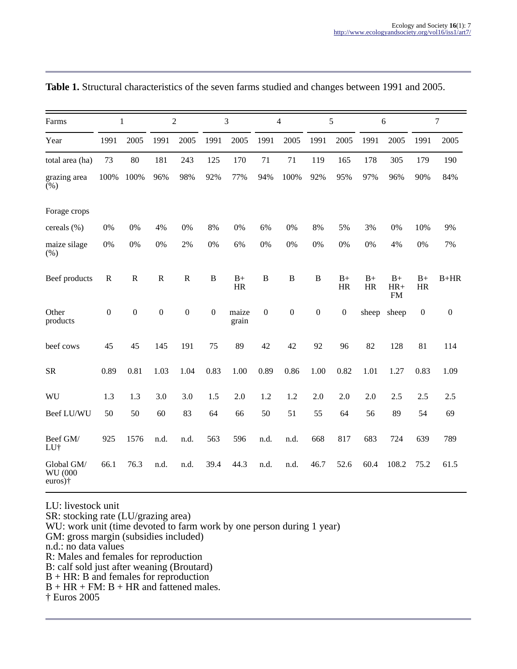| Farms                                      |                  | $\mathbf{1}$     |                  | $\overline{2}$   |                  | 3                 |                  | $\overline{4}$   |                  | 5                 |                   | 6                   |                   | $\boldsymbol{7}$ |
|--------------------------------------------|------------------|------------------|------------------|------------------|------------------|-------------------|------------------|------------------|------------------|-------------------|-------------------|---------------------|-------------------|------------------|
| Year                                       | 1991             | 2005             | 1991             | 2005             | 1991             | 2005              | 1991             | 2005             | 1991             | 2005              | 1991              | 2005                | 1991              | 2005             |
| total area (ha)                            | 73               | 80               | 181              | 243              | 125              | 170               | 71               | 71               | 119              | 165               | 178               | 305                 | 179               | 190              |
| grazing area<br>(% )                       | 100%             | 100%             | 96%              | 98%              | 92%              | 77%               | 94%              | 100%             | 92%              | 95%               | 97%               | 96%                 | 90%               | 84%              |
| Forage crops                               |                  |                  |                  |                  |                  |                   |                  |                  |                  |                   |                   |                     |                   |                  |
| cereals (%)                                | 0%               | 0%               | 4%               | 0%               | 8%               | 0%                | 6%               | 0%               | 8%               | 5%                | 3%                | 0%                  | 10%               | 9%               |
| maize silage<br>(% )                       | 0%               | 0%               | 0%               | 2%               | 0%               | 6%                | 0%               | 0%               | 0%               | 0%                | 0%                | 4%                  | 0%                | 7%               |
| Beef products                              | $\mathbf R$      | ${\bf R}$        | ${\bf R}$        | ${\bf R}$        | $\, {\bf B}$     | $B+$<br><b>HR</b> | $\, {\bf B}$     | $\, {\bf B}$     | $\, {\bf B}$     | $B+$<br><b>HR</b> | $B+$<br><b>HR</b> | $B+$<br>$HR+$<br>FM | $B+$<br><b>HR</b> | $B+HR$           |
| Other<br>products                          | $\boldsymbol{0}$ | $\boldsymbol{0}$ | $\boldsymbol{0}$ | $\boldsymbol{0}$ | $\boldsymbol{0}$ | maize<br>grain    | $\boldsymbol{0}$ | $\boldsymbol{0}$ | $\boldsymbol{0}$ | $\boldsymbol{0}$  | sheep             | sheep               | $\boldsymbol{0}$  | $\boldsymbol{0}$ |
| beef cows                                  | 45               | 45               | 145              | 191              | 75               | 89                | 42               | 42               | 92               | 96                | 82                | 128                 | 81                | 114              |
| <b>SR</b>                                  | 0.89             | 0.81             | 1.03             | 1.04             | 0.83             | 1.00              | 0.89             | 0.86             | 1.00             | 0.82              | 1.01              | 1.27                | 0.83              | 1.09             |
| WU                                         | 1.3              | 1.3              | 3.0              | 3.0              | 1.5              | 2.0               | 1.2              | 1.2              | 2.0              | 2.0               | 2.0               | 2.5                 | 2.5               | 2.5              |
| Beef LU/WU                                 | 50               | 50               | 60               | 83               | 64               | 66                | 50               | 51               | 55               | 64                | 56                | 89                  | 54                | 69               |
| Beef GM/<br>LU <sup>+</sup>                | 925              | 1576             | n.d.             | n.d.             | 563              | 596               | n.d.             | n.d.             | 668              | 817               | 683               | 724                 | 639               | 789              |
| Global GM/<br><b>WU</b> (000<br>$euros)$ † | 66.1             | 76.3             | n.d.             | n.d.             | 39.4             | 44.3              | n.d.             | n.d.             | 46.7             | 52.6              | 60.4              | 108.2               | 75.2              | 61.5             |

|  | Table 1. Structural characteristics of the seven farms studied and changes between 1991 and 2005. |  |  |  |
|--|---------------------------------------------------------------------------------------------------|--|--|--|
|  |                                                                                                   |  |  |  |

LU: livestock unit

SR: stocking rate (LU/grazing area) WU: work unit (time devoted to farm work by one person during 1 year) GM: gross margin (subsidies included) n.d.: no data values R: Males and females for reproduction B: calf sold just after weaning (Broutard) B + HR: B and females for reproduction  $B + HR + FM$ :  $B + HR$  and fattened males.

† Euros 2005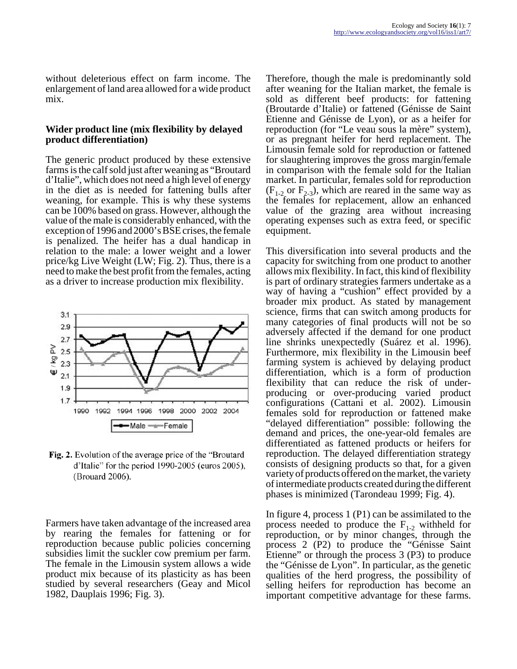without deleterious effect on farm income. The enlargement of land area allowed for a wide product mix.

#### **Wider product line (mix flexibility by delayed product differentiation)**

The generic product produced by these extensive farms is the calf sold just after weaning as "Broutard d'Italie", which does not need a high level of energy in the diet as is needed for fattening bulls after weaning, for example. This is why these systems can be 100% based on grass. However, although the value of the male is considerably enhanced, with the exception of 1996 and 2000's BSE crises, the female is penalized. The heifer has a dual handicap in relation to the male: a lower weight and a lower price/kg Live Weight (LW; Fig. 2). Thus, there is a need to make the best profit from the females, acting as a driver to increase production mix flexibility.



Fig. 2. Evolution of the average price of the "Broutard"  $d'$ Italie" for the period 1990-2005 (euros 2005). (Brouard 2006).

Farmers have taken advantage of the increased area by rearing the females for fattening or for reproduction because public policies concerning subsidies limit the suckler cow premium per farm. The female in the Limousin system allows a wide product mix because of its plasticity as has been studied by several researchers (Geay and Micol 1982, Dauplais 1996; Fig. 3).

Therefore, though the male is predominantly sold after weaning for the Italian market, the female is sold as different beef products: for fattening (Broutarde d'Italie) or fattened (Génisse de Saint Etienne and Génisse de Lyon), or as a heifer for reproduction (for "Le veau sous la mère" system), or as pregnant heifer for herd replacement. The Limousin female sold for reproduction or fattened for slaughtering improves the gross margin/female in comparison with the female sold for the Italian market. In particular, females sold for reproduction  $(F_{1-2}$  or  $F_{2-3}$ ), which are reared in the same way as the females for replacement, allow an enhanced value of the grazing area without increasing operating expenses such as extra feed, or specific equipment.

This diversification into several products and the capacity for switching from one product to another allows mix flexibility. In fact, this kind of flexibility is part of ordinary strategies farmers undertake as a way of having a "cushion" effect provided by a broader mix product. As stated by management science, firms that can switch among products for many categories of final products will not be so adversely affected if the demand for one product line shrinks unexpectedly (Suárez et al. 1996). Furthermore, mix flexibility in the Limousin beef farming system is achieved by delaying product differentiation, which is a form of production flexibility that can reduce the risk of underproducing or over-producing varied product configurations (Cattani et al. 2002). Limousin females sold for reproduction or fattened make "delayed differentiation" possible: following the demand and prices, the one-year-old females are differentiated as fattened products or heifers for reproduction. The delayed differentiation strategy consists of designing products so that, for a given variety of products offered on the market, the variety of intermediate products created during the different phases is minimized (Tarondeau 1999; Fig. 4).

In figure 4, process 1 (P1) can be assimilated to the process needed to produce the  $F_{1-2}$  withheld for reproduction, or by minor changes, through the process 2 (P2) to produce the "Génisse Saint Etienne" or through the process 3 (P3) to produce the "Génisse de Lyon". In particular, as the genetic qualities of the herd progress, the possibility of selling heifers for reproduction has become an important competitive advantage for these farms.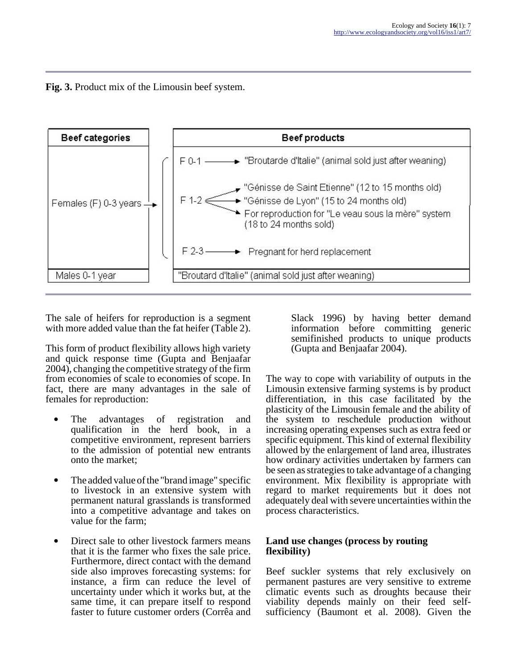**Fig. 3.** Product mix of the Limousin beef system.



The sale of heifers for reproduction is a segment with more added value than the fat heifer (Table 2).

This form of product flexibility allows high variety and quick response time (Gupta and Benjaafar 2004), changing the competitive strategy of the firm from economies of scale to economies of scope. In fact, there are many advantages in the sale of females for reproduction:

- The advantages of registration and qualification in the herd book, in a competitive environment, represent barriers to the admission of potential new entrants onto the market;
- The added value of the "brand image" specific to livestock in an extensive system with permanent natural grasslands is transformed into a competitive advantage and takes on value for the farm;
- Direct sale to other livestock farmers means that it is the farmer who fixes the sale price. Furthermore, direct contact with the demand side also improves forecasting systems: for instance, a firm can reduce the level of uncertainty under which it works but, at the same time, it can prepare itself to respond faster to future customer orders (Corrêa and

Slack 1996) by having better demand information before committing generic semifinished products to unique products (Gupta and Benjaafar 2004).

The way to cope with variability of outputs in the Limousin extensive farming systems is by product differentiation, in this case facilitated by the plasticity of the Limousin female and the ability of the system to reschedule production without increasing operating expenses such as extra feed or specific equipment. This kind of external flexibility allowed by the enlargement of land area, illustrates how ordinary activities undertaken by farmers can be seen as strategies to take advantage of a changing environment. Mix flexibility is appropriate with regard to market requirements but it does not adequately deal with severe uncertainties within the process characteristics.

#### **Land use changes (process by routing flexibility)**

Beef suckler systems that rely exclusively on permanent pastures are very sensitive to extreme climatic events such as droughts because their viability depends mainly on their feed selfsufficiency (Baumont et al. 2008). Given the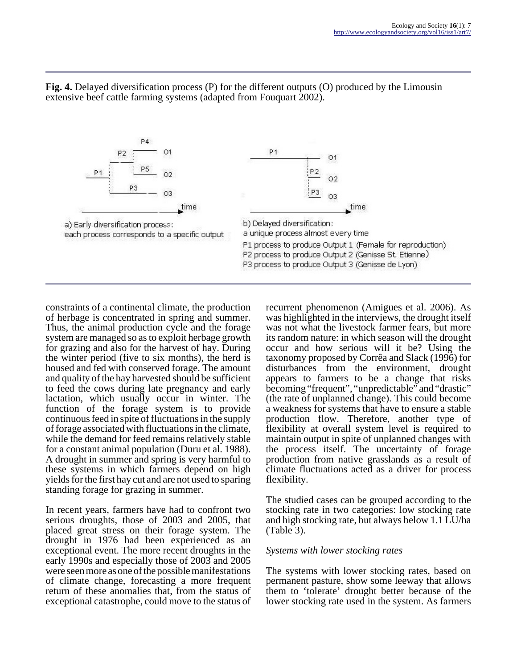

**Fig. 4.** Delayed diversification process (P) for the different outputs (O) produced by the Limousin extensive beef cattle farming systems (adapted from Fouquart 2002).

constraints of a continental climate, the production of herbage is concentrated in spring and summer. Thus, the animal production cycle and the forage system are managed so as to exploit herbage growth for grazing and also for the harvest of hay. During the winter period (five to six months), the herd is housed and fed with conserved forage. The amount and quality of the hay harvested should be sufficient to feed the cows during late pregnancy and early lactation, which usually occur in winter. The function of the forage system is to provide continuous feed in spite of fluctuations in the supply of forage associated with fluctuations in the climate, while the demand for feed remains relatively stable for a constant animal population (Duru et al. 1988). A drought in summer and spring is very harmful to these systems in which farmers depend on high yields for the first hay cut and are not used to sparing standing forage for grazing in summer.

In recent years, farmers have had to confront two serious droughts, those of 2003 and 2005, that placed great stress on their forage system. The drought in 1976 had been experienced as an exceptional event. The more recent droughts in the early 1990s and especially those of 2003 and 2005 were seen more as one of the possible manifestations of climate change, forecasting a more frequent return of these anomalies that, from the status of exceptional catastrophe, could move to the status of recurrent phenomenon (Amigues et al. 2006). As was highlighted in the interviews, the drought itself was not what the livestock farmer fears, but more its random nature: in which season will the drought occur and how serious will it be? Using the taxonomy proposed by Corrêa and Slack (1996) for disturbances from the environment, drought appears to farmers to be a change that risks becoming "frequent", "unpredictable" and "drastic" (the rate of unplanned change). This could become a weakness for systems that have to ensure a stable production flow. Therefore, another type of flexibility at overall system level is required to maintain output in spite of unplanned changes with the process itself. The uncertainty of forage production from native grasslands as a result of climate fluctuations acted as a driver for process flexibility.

The studied cases can be grouped according to the stocking rate in two categories: low stocking rate and high stocking rate, but always below 1.1 LU/ha (Table 3).

#### *Systems with lower stocking rates*

The systems with lower stocking rates, based on permanent pasture, show some leeway that allows them to 'tolerate' drought better because of the lower stocking rate used in the system. As farmers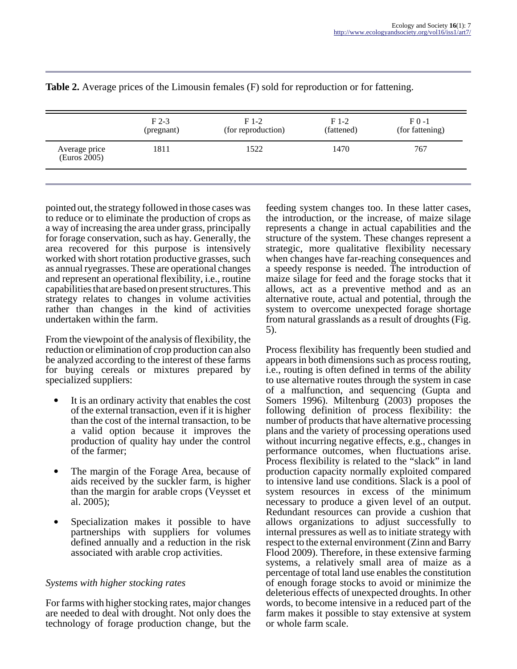|                               | $F2-3$     | $F1-2$             | $F1-2$     | $F_{0-1}$       |
|-------------------------------|------------|--------------------|------------|-----------------|
|                               | (pregnant) | (for reproduction) | (fattened) | (for fattening) |
| Average price<br>(Euros 2005) | 1811       | 1522               | 1470       | 767             |

|  |  |  |  | Table 2. Average prices of the Limousin females (F) sold for reproduction or for fattening. |  |
|--|--|--|--|---------------------------------------------------------------------------------------------|--|
|  |  |  |  |                                                                                             |  |

pointed out, the strategy followed in those cases was to reduce or to eliminate the production of crops as a way of increasing the area under grass, principally for forage conservation, such as hay. Generally, the area recovered for this purpose is intensively worked with short rotation productive grasses, such as annual ryegrasses. These are operational changes and represent an operational flexibility, i.e., routine capabilities that are based on present structures. This strategy relates to changes in volume activities rather than changes in the kind of activities undertaken within the farm.

From the viewpoint of the analysis of flexibility, the reduction or elimination of crop production can also be analyzed according to the interest of these farms for buying cereals or mixtures prepared by specialized suppliers:

- It is an ordinary activity that enables the cost of the external transaction, even if it is higher than the cost of the internal transaction, to be a valid option because it improves the production of quality hay under the control of the farmer;
- The margin of the Forage Area, because of aids received by the suckler farm, is higher than the margin for arable crops (Veysset et al. 2005);
- Specialization makes it possible to have partnerships with suppliers for volumes defined annually and a reduction in the risk associated with arable crop activities.

### *Systems with higher stocking rates*

For farms with higher stocking rates, major changes are needed to deal with drought. Not only does the technology of forage production change, but the

feeding system changes too. In these latter cases, the introduction, or the increase, of maize silage represents a change in actual capabilities and the structure of the system. These changes represent a strategic, more qualitative flexibility necessary when changes have far-reaching consequences and a speedy response is needed. The introduction of maize silage for feed and the forage stocks that it allows, act as a preventive method and as an alternative route, actual and potential, through the system to overcome unexpected forage shortage from natural grasslands as a result of droughts (Fig. 5).

Process flexibility has frequently been studied and appears in both dimensions such as process routing, i.e., routing is often defined in terms of the ability to use alternative routes through the system in case of a malfunction, and sequencing (Gupta and Somers 1996). Miltenburg (2003) proposes the following definition of process flexibility: the number of products that have alternative processing plans and the variety of processing operations used without incurring negative effects, e.g., changes in performance outcomes, when fluctuations arise. Process flexibility is related to the "slack" in land production capacity normally exploited compared to intensive land use conditions. Slack is a pool of system resources in excess of the minimum necessary to produce a given level of an output. Redundant resources can provide a cushion that allows organizations to adjust successfully to internal pressures as well as to initiate strategy with respect to the external environment (Zinn and Barry Flood 2009). Therefore, in these extensive farming systems, a relatively small area of maize as a percentage of total land use enables the constitution of enough forage stocks to avoid or minimize the deleterious effects of unexpected droughts. In other words, to become intensive in a reduced part of the farm makes it possible to stay extensive at system or whole farm scale.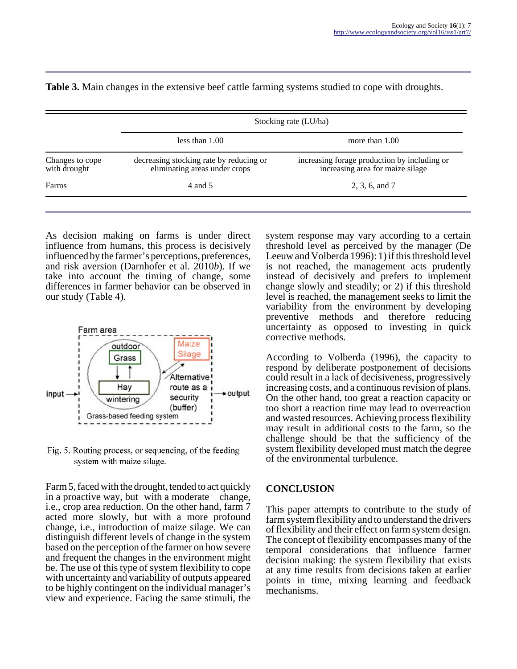|                                 | Stocking rate (LU/ha)                                                    |                                                                                  |  |  |  |
|---------------------------------|--------------------------------------------------------------------------|----------------------------------------------------------------------------------|--|--|--|
|                                 | less than $1.00$                                                         | more than 1.00                                                                   |  |  |  |
| Changes to cope<br>with drought | decreasing stocking rate by reducing or<br>eliminating areas under crops | increasing forage production by including or<br>increasing area for maize silage |  |  |  |
| Farms                           | 4 and 5                                                                  | 2, 3, 6, and 7                                                                   |  |  |  |

**Table 3.** Main changes in the extensive beef cattle farming systems studied to cope with droughts.

As decision making on farms is under direct influence from humans, this process is decisively influenced by the farmer's perceptions, preferences, and risk aversion (Darnhofer et al. 2010*b*). If we take into account the timing of change, some differences in farmer behavior can be observed in our study (Table 4).



Fig. 5. Routing process, or sequencing, of the feeding system with maize silage.

Farm 5, faced with the drought, tended to act quickly in a proactive way, but with a moderate change, i.e., crop area reduction. On the other hand, farm 7 acted more slowly, but with a more profound change, i.e., introduction of maize silage. We can distinguish different levels of change in the system based on the perception of the farmer on how severe and frequent the changes in the environment might be. The use of this type of system flexibility to cope with uncertainty and variability of outputs appeared to be highly contingent on the individual manager's view and experience. Facing the same stimuli, the

system response may vary according to a certain threshold level as perceived by the manager (De Leeuw and Volberda 1996): 1) if this threshold level is not reached, the management acts prudently instead of decisively and prefers to implement change slowly and steadily; or 2) if this threshold level is reached, the management seeks to limit the variability from the environment by developing preventive methods and therefore reducing uncertainty as opposed to investing in quick corrective methods.

According to Volberda (1996), the capacity to respond by deliberate postponement of decisions could result in a lack of decisiveness, progressively increasing costs, and a continuous revision of plans. On the other hand, too great a reaction capacity or too short a reaction time may lead to overreaction and wasted resources. Achieving process flexibility may result in additional costs to the farm, so the challenge should be that the sufficiency of the system flexibility developed must match the degree of the environmental turbulence.

### **CONCLUSION**

This paper attempts to contribute to the study of farm system flexibility and to understand the drivers of flexibility and their effect on farm system design. The concept of flexibility encompasses many of the temporal considerations that influence farmer decision making: the system flexibility that exists at any time results from decisions taken at earlier points in time, mixing learning and feedback mechanisms.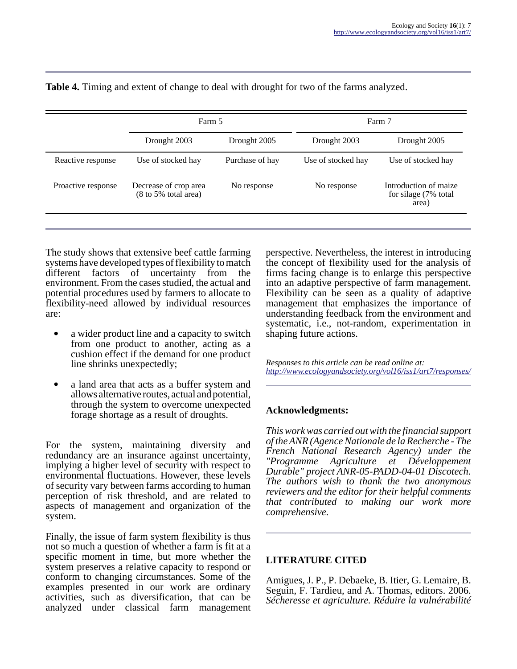|                    | Farm 5                                                            |                 | Farm 7             |                                                         |  |
|--------------------|-------------------------------------------------------------------|-----------------|--------------------|---------------------------------------------------------|--|
|                    | Drought 2003                                                      | Drought 2005    | Drought 2003       | Drought 2005                                            |  |
| Reactive response  | Use of stocked hay                                                | Purchase of hay | Use of stocked hay | Use of stocked hay                                      |  |
| Proactive response | Decrease of crop area<br>$(8 \text{ to } 5\% \text{ total area})$ | No response     | No response        | Introduction of maize<br>for silage (7% total)<br>area) |  |

|  |  | Table 4. Timing and extent of change to deal with drought for two of the farms analyzed. |
|--|--|------------------------------------------------------------------------------------------|
|  |  |                                                                                          |

The study shows that extensive beef cattle farming systems have developed types of flexibility to match different factors of uncertainty from the environment. From the cases studied, the actual and potential procedures used by farmers to allocate to flexibility-need allowed by individual resources are:

- a wider product line and a capacity to switch from one product to another, acting as a cushion effect if the demand for one product line shrinks unexpectedly;
- a land area that acts as a buffer system and allows alternative routes, actual and potential, through the system to overcome unexpected forage shortage as a result of droughts.

For the system, maintaining diversity and redundancy are an insurance against uncertainty, implying a higher level of security with respect to environmental fluctuations. However, these levels of security vary between farms according to human perception of risk threshold, and are related to aspects of management and organization of the system.

Finally, the issue of farm system flexibility is thus not so much a question of whether a farm is fit at a specific moment in time, but more whether the system preserves a relative capacity to respond or conform to changing circumstances. Some of the examples presented in our work are ordinary activities, such as diversification, that can be analyzed under classical farm management perspective. Nevertheless, the interest in introducing the concept of flexibility used for the analysis of firms facing change is to enlarge this perspective into an adaptive perspective of farm management. Flexibility can be seen as a quality of adaptive management that emphasizes the importance of understanding feedback from the environment and systematic, i.e., not-random, experimentation in shaping future actions.

*Responses to this article can be read online at: http://www.ecologyandsociety.org/vol16/iss1/art7/responses/*

## **Acknowledgments:**

*This work was carried out with the financial support of the ANR (Agence Nationale de la Recherche - The French National Research Agency) under the "Programme Agriculture et Développement Durable" project ANR-05-PADD-04-01 Discotech. The authors wish to thank the two anonymous reviewers and the editor for their helpful comments that contributed to making our work more comprehensive.*

## **LITERATURE CITED**

Amigues, J. P., P. Debaeke, B. Itier, G. Lemaire, B. Seguin, F. Tardieu, and A. Thomas, editors. 2006. *Sécheresse et agriculture. Réduire la vulnérabilité*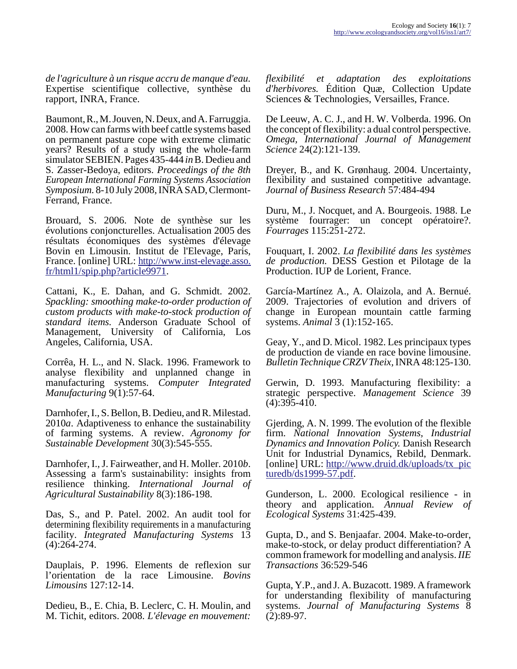*de l'agriculture à un risque accru de manque d'eau.* Expertise scientifique collective, synthèse du rapport, INRA, France.

Baumont, R., M. Jouven, N. Deux, and A. Farruggia. 2008. How can farms with beef cattle systems based on permanent pasture cope with extreme climatic years? Results of a study using the whole-farm simulator SEBIEN. Pages 435-444 *in* B. Dedieu and S. Zasser-Bedoya, editors. *Proceedings of the 8th European International Farming Systems Association Symposium.* 8-10 July 2008, INRA SAD, Clermont-Ferrand, France.

Brouard, S. 2006. Note de synthèse sur les évolutions conjoncturelles. Actualisation 2005 des résultats économiques des systèmes d'élevage Bovin en Limousin. Institut de l'Elevage, Paris, France. [online] URL: http://www.inst-elevage.asso. fr/html1/spip.php?article9971.

Cattani, K., E. Dahan, and G. Schmidt. 2002. *Spackling: smoothing make-to-order production of custom products with make-to-stock production of standard items.* Anderson Graduate School of Management, University of California, Los Angeles, California, USA.

Corrêa, H. L., and N. Slack. 1996. Framework to analyse flexibility and unplanned change in manufacturing systems. *Computer Integrated Manufacturing* 9(1):57-64.

Darnhofer, I., S. Bellon, B. Dedieu, and R. Milestad. 2010*a*. Adaptiveness to enhance the sustainability of farming systems. A review. *Agronomy for Sustainable Development* 30(3):545-555.

Darnhofer, I., J. Fairweather, and H. Moller. 2010*b*. Assessing a farm's sustainability: insights from resilience thinking. *International Journal of Agricultural Sustainability* 8(3):186-198.

Das, S., and P. Patel. 2002. An audit tool for determining flexibility requirements in a manufacturing facility. *Integrated Manufacturing Systems* 13 (4):264-274.

Dauplais, P. 1996. Elements de reflexion sur l'orientation de la race Limousine. *Bovins Limousins* 127:12-14.

Dedieu, B., E. Chia, B. Leclerc, C. H. Moulin, and M. Tichit, editors. 2008. *L'élevage en mouvement:*

*flexibilité et adaptation des exploitations d'herbivores.* Édition Quæ, Collection Update Sciences & Technologies, Versailles, France.

De Leeuw, A. C. J., and H. W. Volberda. 1996. On the concept of flexibility: a dual control perspective. *Omega, International Journal of Management Science* 24(2):121-139.

Dreyer, B., and K. Grønhaug. 2004. Uncertainty, flexibility and sustained competitive advantage. *Journal of Business Research* 57:484-494

Duru, M., J. Nocquet, and A. Bourgeois. 1988. Le système fourrager: un concept opératoire?. *Fourrages* 115:251-272.

Fouquart, I. 2002. *La flexibilité dans les systèmes de production.* DESS Gestion et Pilotage de la Production. IUP de Lorient, France.

García-Martínez A., A. Olaizola, and A. Bernué. 2009. Trajectories of evolution and drivers of change in European mountain cattle farming systems. *Animal* 3 (1):152-165.

Geay, Y., and D. Micol. 1982. Les principaux types de production de viande en race bovine limousine. *Bulletin Technique CRZV Theix,* INRA 48:125-130.

Gerwin, D. 1993. Manufacturing flexibility: a strategic perspective. *Management Science* 39 (4):395-410.

Gjerding, A. N. 1999. The evolution of the flexible firm. *National Innovation Systems, Industrial Dynamics and Innovation Policy.* Danish Research Unit for Industrial Dynamics, Rebild, Denmark. [online] URL: http://www.druid.dk/uploads/tx\_pic turedb/ds1999-57.pdf.

Gunderson, L. 2000. Ecological resilience - in theory and application. *Annual Review of Ecological Systems* 31:425-439.

Gupta, D., and S. Benjaafar. 2004. Make-to-order, make-to-stock, or delay product differentiation? A common framework for modelling and analysis. *IIE Transactions* 36:529-546

Gupta, Y.P., and J. A. Buzacott. 1989. A framework for understanding flexibility of manufacturing systems. *Journal of Manufacturing Systems* 8  $(2):89-97.$